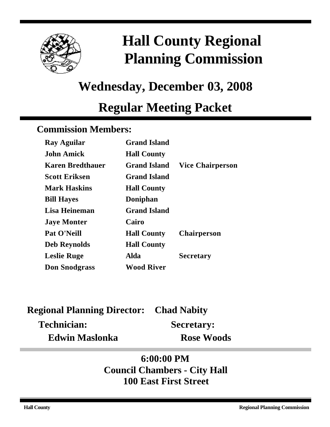

# **Hall County Regional Planning Commission**

# **Wednesday, December 03, 2008**

# **Regular Meeting Packet**

## **Commission Members:**

| <b>Ray Aguilar</b>      | <b>Grand Island</b> |                         |
|-------------------------|---------------------|-------------------------|
| <b>John Amick</b>       | <b>Hall County</b>  |                         |
| <b>Karen Bredthauer</b> | <b>Grand Island</b> | <b>Vice Chairperson</b> |
| <b>Scott Eriksen</b>    | <b>Grand Island</b> |                         |
| <b>Mark Haskins</b>     | <b>Hall County</b>  |                         |
| <b>Bill Hayes</b>       | Doniphan            |                         |
| Lisa Heineman           | <b>Grand Island</b> |                         |
| <b>Jaye Monter</b>      | Cairo               |                         |
| <b>Pat O'Neill</b>      | <b>Hall County</b>  | <b>Chairperson</b>      |
| <b>Deb Reynolds</b>     | <b>Hall County</b>  |                         |
| <b>Leslie Ruge</b>      | Alda                | <b>Secretary</b>        |
| <b>Don Snodgrass</b>    | <b>Wood River</b>   |                         |

| <b>Regional Planning Director:</b> Chad Nabity |                   |
|------------------------------------------------|-------------------|
| Technician:                                    | <b>Secretary:</b> |
| <b>Edwin Maslonka</b>                          | <b>Rose Woods</b> |

**6:00:00 PM Council Chambers - City Hall 100 East First Street**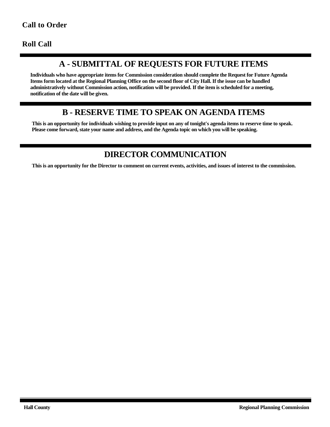## **A - SUBMITTAL OF REQUESTS FOR FUTURE ITEMS**

**Individuals who have appropriate items for Commission consideration should complete the Request for Future Agenda Items form located at the Regional Planning Office on the second floor of City Hall. If the issue can be handled administratively without Commission action, notification will be provided. If the item is scheduled for a meeting, notification of the date will be given.**

## **B - RESERVE TIME TO SPEAK ON AGENDA ITEMS**

**This is an opportunity for individuals wishing to provide input on any of tonight's agenda items to reserve time to speak. Please come forward, state your name and address, and the Agenda topic on which you will be speaking.**

## **DIRECTOR COMMUNICATION**

**This is an opportunity for the Director to comment on current events, activities, and issues of interest to the commission.**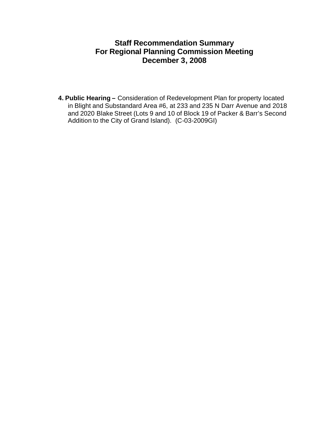### **Staff Recommendation Summary For Regional Planning Commission Meeting December 3, 2008**

**4. Public Hearing –** Consideration of Redevelopment Plan for property located in Blight and Substandard Area #6, at 233 and 235 N Darr Avenue and 2018 and 2020 Blake Street (Lots 9 and 10 of Block 19 of Packer & Barr's Second Addition to the City of Grand Island). (C-03-2009GI)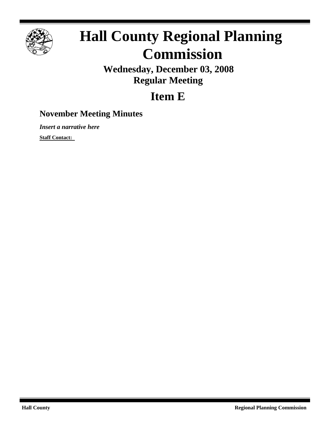

# **Hall County Regional Planning Commission**

**Wednesday, December 03, 2008 Regular Meeting**

# **Item E**

## **November Meeting Minutes**

*Insert a narrative here*

**Staff Contact:**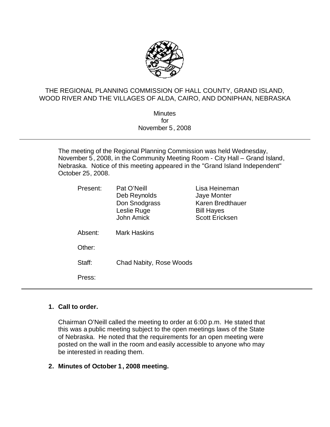

#### THE REGIONAL PLANNING COMMISSION OF HALL COUNTY, GRAND ISLAND, WOOD RIVER AND THE VILLAGES OF ALDA, CAIRO, AND DONIPHAN, NEBRASKA

**Minutes** for November 5, 2008

The meeting of the Regional Planning Commission was held Wednesday, November 5, 2008, in the Community Meeting Room - City Hall – Grand Island, Nebraska. Notice of this meeting appeared in the "Grand Island Independent" October 25, 2008.

| Present: | Pat O'Neill<br>Deb Reynolds<br>Don Snodgrass<br>Leslie Ruge<br>John Amick | Lisa Heineman<br>Jaye Monter<br><b>Karen Bredthauer</b><br><b>Bill Hayes</b><br><b>Scott Ericksen</b> |
|----------|---------------------------------------------------------------------------|-------------------------------------------------------------------------------------------------------|
| Absent:  | Mark Haskins                                                              |                                                                                                       |
| Other:   |                                                                           |                                                                                                       |
| Staff:   | Chad Nabity, Rose Woods                                                   |                                                                                                       |
| Press:   |                                                                           |                                                                                                       |

#### **1. Call to order.**

Chairman O'Neill called the meeting to order at 6:00 p.m. He stated that this was a public meeting subject to the open meetings laws of the State of Nebraska. He noted that the requirements for an open meeting were posted on the wall in the room and easily accessible to anyone who may be interested in reading them.

#### **2. Minutes of October 1, 2008 meeting.**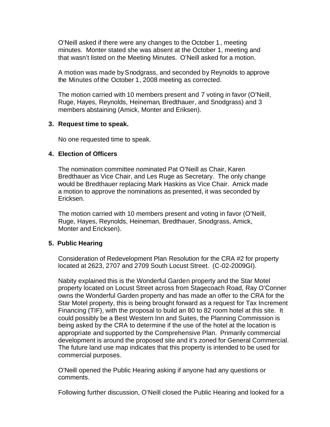O'Neill asked if there were any changes to the October 1, meeting minutes. Monter stated she was absent at the October 1, meeting and that wasn't listed on the Meeting Minutes. O'Neill asked for a motion.

A motion was made bySnodgrass, and seconded by Reynolds to approve the Minutes of the October 1, 2008 meeting as corrected.

The motion carried with 10 members present and 7 voting in favor (O'Neill, Ruge, Hayes, Reynolds, Heineman, Bredthauer, and Snodgrass) and 3 members abstaining (Amick, Monter and Eriksen).

#### **3. Request time to speak.**

No one requested time to speak.

#### **4. Election of Officers**

The nomination committee nominated Pat O'Neill as Chair, Karen Bredthauer as Vice Chair, and Les Ruge as Secretary. The only change would be Bredthauer replacing Mark Haskins as Vice Chair. Amick made a motion to approve the nominations as presented, it was seconded by Ericksen.

The motion carried with 10 members present and voting in favor (O'Neill, Ruge, Hayes, Reynolds, Heineman, Bredthauer, Snodgrass, Amick, Monter and Ericksen).

#### **5. Public Hearing**

Consideration of Redevelopment Plan Resolution for the CRA #2 for property located at 2623, 2707 and 2709 South Locust Street. (C-02-2009GI).

Nabity explained this is the Wonderful Garden property and the Star Motel property located on Locust Street across from Stagecoach Road, Ray O'Conner owns the Wonderful Garden property and has made an offer to the CRA for the Star Motel property, this is being brought forward as a request for Tax Increment Financing (TIF), with the proposal to build an 80 to 82 room hotel at this site. It could possibly be a Best Western Inn and Suites, the Planning Commission is being asked by the CRA to determine if the use of the hotel at the location is appropriate and supported by the Comprehensive Plan. Primarily commercial development is around the proposed site and it's zoned for General Commercial. The future land use map indicates that this property is intended to be used for commercial purposes.

O'Neill opened the Public Hearing asking if anyone had any questions or comments.

Following further discussion, O'Neill closed the Public Hearing and looked for a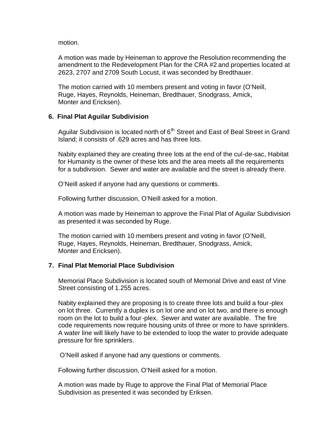motion.

A motion was made by Heineman to approve the Resolution recommending the amendment to the Redevelopment Plan for the CRA #2 and properties located at 2623, 2707 and 2709 South Locust, it was seconded by Bredthauer.

The motion carried with 10 members present and voting in favor (O'Neill, Ruge, Hayes, Reynolds, Heineman, Bredthauer, Snodgrass, Amick, Monter and Ericksen).

#### **6. Final Plat Aguilar Subdivision**

Aguilar Subdivision is located north of  $6<sup>th</sup>$  Street and East of Beal Street in Grand Island; it consists of .629 acres and has three lots.

Nabity explained they are creating three lots at the end of the cul-de-sac, Habitat for Humanity is the owner of these lots and the area meets all the requirements for a subdivision. Sewer and water are available and the street is already there.

O'Neill asked if anyone had any questions or comments.

Following further discussion, O'Neill asked for a motion.

A motion was made by Heineman to approve the Final Plat of Aguilar Subdivision as presented it was seconded by Ruge.

The motion carried with 10 members present and voting in favor (O'Neill, Ruge, Hayes, Reynolds, Heineman, Bredthauer, Snodgrass, Amick, Monter and Ericksen).

#### **7. Final Plat Memorial Place Subdivision**

Memorial Place Subdivision is located south of Memorial Drive and east of Vine Street consisting of 1.255 acres.

Nabity explained they are proposing is to create three lots and build a four-plex on lot three. Currently a duplex is on lot one and on lot two, and there is enough room on the lot to build a four-plex. Sewer and water are available. The fire code requirements now require housing units of three or more to have sprinklers. A water line will likely have to be extended to loop the water to provide adequate pressure for fire sprinklers.

O'Neill asked if anyone had any questions or comments.

Following further discussion, O'Neill asked for a motion.

A motion was made by Ruge to approve the Final Plat of Memorial Place Subdivision as presented it was seconded by Eriksen.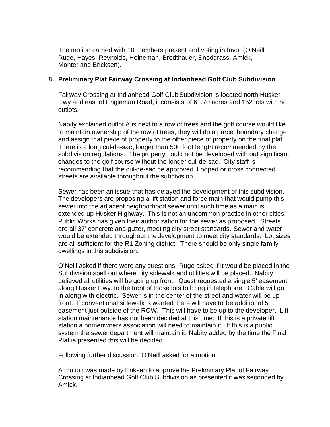The motion carried with 10 members present and voting in favor (O'Neill, Ruge, Hayes, Reynolds, Heineman, Bredthauer, Snodgrass, Amick, Monter and Ericksen).

#### **8. Preliminary Plat Fairway Crossing at Indianhead Golf Club Subdivision**

Fairway Crossing at Indianhead Golf Club Subdivision is located north Husker Hwy and east of Engleman Road, it consists of 61.70 acres and 152 lots with no outlots.

Nabity explained outlot A is next to a row of trees and the golf course would like to maintain ownership of the row of trees, they will do a parcel boundary change and assign that piece of property to the other piece of property on the final plat. There is a long cul-de-sac, longer than 500 foot length recommended by the subdivision regulations. The property could not be developed with out significant changes to the golf course without the longer cul-de-sac. City staff is recommending that the cul-de-sac be approved. Looped or cross connected streets are available throughout the subdivision.

Sewer has been an issue that has delayed the development of this subdivision. The developers are proposing a lift station and force main that would pump this sewer into the adjacent neighborhood sewer until such time as a main is extended up Husker Highway. This is not an uncommon practice in other cities; Public Works has given their authorization for the sewer as proposed. Streets are all 37' concrete and gutter, meeting city street standards. Sewer and water would be extended throughout the development to meet city standards. Lot sizes are all sufficient for the R1 Zoning district. There should be only single family dwellings in this subdivision.

O'Neill asked if there were any questions. Ruge asked if it would be placed in the Subdivision spell out where city sidewalk and utilities will be placed. Nabity believed all utilities will be going up front. Quest requested a single 5' easement along Husker Hwy. to the front of those lots to bring in telephone. Cable will go in along with electric. Sewer is in the center of the street and water will be up front. If conventional sidewalk is wanted there will have to be additional 5' easement just outside of the ROW. This will have to be up to the developer. Lift station maintenance has not been decided at this time. If this is a private lift station a homeowners association will need to maintain it. If this is a public system the sewer department will maintain it. Nabity added by the time the Final Plat is presented this will be decided.

Following further discussion, O'Neill asked for a motion.

A motion was made by Eriksen to approve the Preliminary Plat of Fairway Crossing at Indianhead Golf Club Subdivision as presented it was seconded by Amick.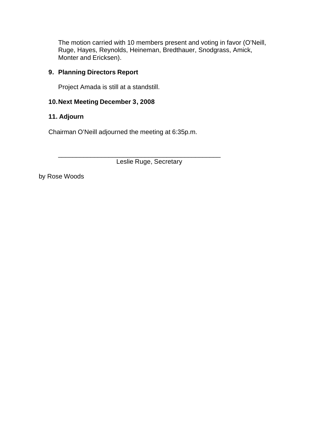The motion carried with 10 members present and voting in favor (O'Neill, Ruge, Hayes, Reynolds, Heineman, Bredthauer, Snodgrass, Amick, Monter and Ericksen).

#### **9. Planning Directors Report**

Project Amada is still at a standstill.

#### **10.Next Meeting December 3, 2008**

#### **11. Adjourn**

Chairman O'Neill adjourned the meeting at 6:35p.m.

Leslie Ruge, Secretary

\_\_\_\_\_\_\_\_\_\_\_\_\_\_\_\_\_\_\_\_\_\_\_\_\_\_\_\_\_\_\_\_\_\_\_\_\_\_\_\_\_\_\_\_\_

by Rose Woods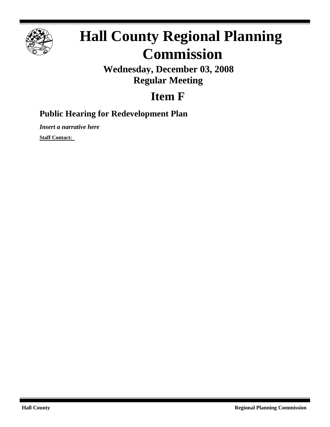

# **Hall County Regional Planning Commission**

**Wednesday, December 03, 2008 Regular Meeting**

## **Item F**

## **Public Hearing for Redevelopment Plan**

*Insert a narrative here*

**Staff Contact:**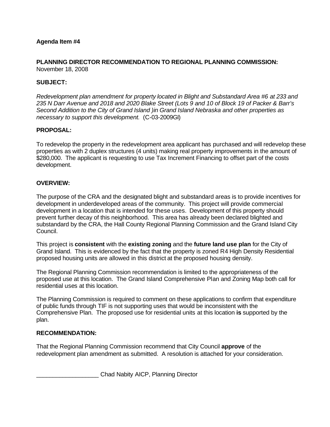#### **Agenda Item #4**

#### **PLANNING DIRECTOR RECOMMENDATION TO REGIONAL PLANNING COMMISSION:** November 18, 2008

#### **SUBJECT:**

*Redevelopment plan amendment for property located in Blight and Substandard Area #6 at 233 and 235 N Darr Avenue and 2018 and 2020 Blake Street (Lots 9 and 10 of Block 19 of Packer & Barr's Second Addition to the City of Grand Island )in Grand Island Nebraska and other properties as necessary to support this development.* (C-03-2009GI)

#### **PROPOSAL:**

To redevelop the property in the redevelopment area applicant has purchased and will redevelop these properties as with 2 duplex structures (4 units) making real property improvements in the amount of \$280,000. The applicant is requesting to use Tax Increment Financing to offset part of the costs development.

#### **OVERVIEW:**

The purpose of the CRA and the designated blight and substandard areas is to provide incentives for development in underdeveloped areas of the community. This project will provide commercial development in a location that is intended for these uses. Development of this property should prevent further decay of this neighborhood. This area has already been declared blighted and substandard by the CRA, the Hall County Regional Planning Commission and the Grand Island City Council.

This project is **consistent** with the **existing zoning** and the **future land use plan** for the City of Grand Island. This is evidenced by the fact that the property is zoned R4 High Density Residential proposed housing units are allowed in this district at the proposed housing density.

The Regional Planning Commission recommendation is limited to the appropriateness of the proposed use at this location. The Grand Island Comprehensive Plan and Zoning Map both call for residential uses at this location.

The Planning Commission is required to comment on these applications to confirm that expenditure of public funds through TIF is not supporting uses that would be inconsistent with the Comprehensive Plan. The proposed use for residential units at this location **is** supported by the plan.

#### **RECOMMENDATION:**

That the Regional Planning Commission recommend that City Council **approve** of the redevelopment plan amendment as submitted. A resolution is attached for your consideration.

Chad Nabity AICP, Planning Director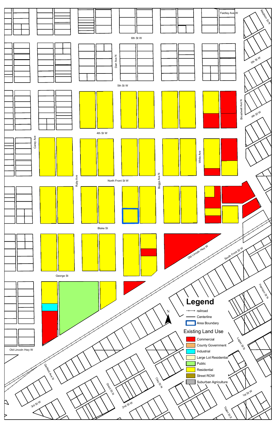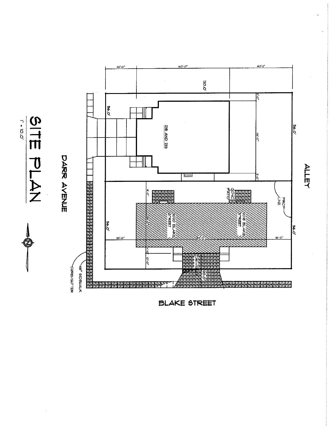

**BLAKE STREET**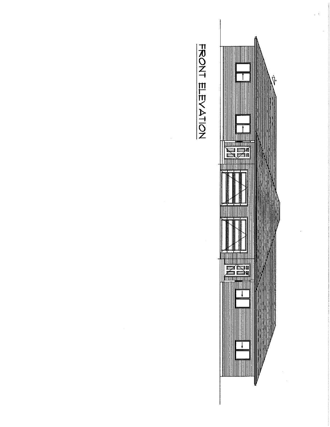

# FRONT ELEVATION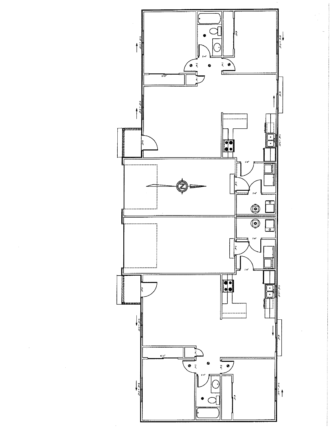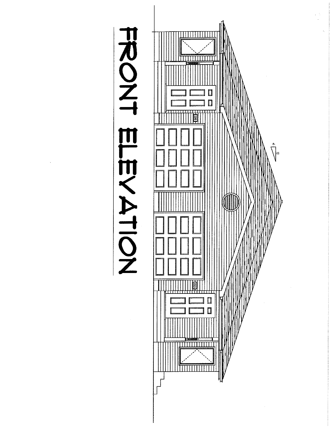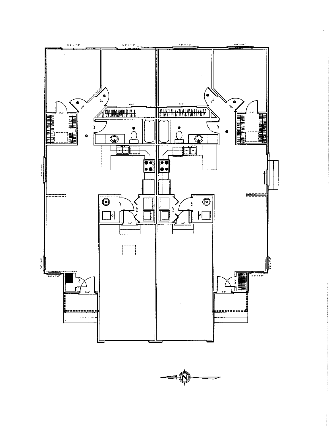



 $\bar{z}$